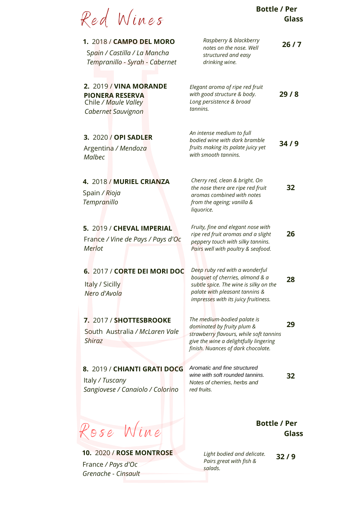| Red Wines                                                                                      | <b>Bottle / Per</b><br>Glass                                                                                                                                                                |
|------------------------------------------------------------------------------------------------|---------------------------------------------------------------------------------------------------------------------------------------------------------------------------------------------|
| 1. 2018 / CAMPO DEL MORO<br>Spain / Castilla / La Mancha<br>Tempranillo - Syrah - Cabernet     | Raspberry & blackberry<br>26/7<br>notes on the nose. Well<br>structured and easy<br>drinking wine.                                                                                          |
| 2. 2019 / VINA MORANDE<br><b>PIONERA RESERVA</b><br>Chile / Maule Valley<br>Cabernet Sauvignon | Elegant aroma of ripe red fruit<br>with good structure & body.<br>29/8<br>Long persistence & broad<br>tannins.                                                                              |
| 3. 2020 / OPI SADLER<br>Argentina / Mendoza<br><b>Malbec</b>                                   | An intense medium to full<br>bodied wine with dark bramble<br>34/9<br>fruits making its palate juicy yet<br>with smooth tannins.                                                            |
| 4. 2018 / MURIEL CRIANZA<br>Spain / Rioja<br><b>Tempranillo</b>                                | Cherry red, clean & bright. On<br>the nose there are ripe red fruit<br>32<br>aromas combined with notes<br>from the ageing; vanilla &<br>liquorice.                                         |
| 5. 2019 / CHEVAL IMPERIAL<br>France / Vine de Pays / Pays d'Oc<br>Merlot                       | Fruity, fine and elegant nose with<br>26<br>ripe red fruit aromas and a slight<br>peppery touch with silky tannins.<br>Pairs well with poultry & seafood.                                   |
| 6. 2017 / CORTE DEI MORI DOC<br>Italy / Sicilly<br>Nero d'Avola                                | Deep ruby red with a wonderful<br>bouquet of cherries, almond & a<br>28<br>subtle spice. The wine is silky on the<br>palate with pleasant tannins &<br>impresses with its juicy fruitiness. |
| 7. 2017 / SHOTTESBROOKE<br>South Australia / McLaren Vale<br><b>Shiraz</b>                     | The medium-bodied palate is<br>29<br>dominated by fruity plum &<br>strawberry flavours, while soft tannins<br>give the wine a delightfully lingering<br>finish. Nuances of dark chocolate.  |
| 8. 2019 / CHIANTI GRATI DOCG<br>Italy / Tuscany<br>Sangiovese / Canaiolo / Colorino            | Aromatic and fine structured<br>wine with soft rounded tannins.<br>32<br>Notes of cherries, herbs and<br>red fruits.                                                                        |
| lose Wine                                                                                      | <b>Bottle / Per</b><br>Glass                                                                                                                                                                |
| <b>10. 2020 / ROSE MONTROSE</b>                                                                | Light bodied and delicate.<br>32/9<br>$i + h$ fich $0$                                                                                                                                      |

*Pairs great with fish &*

*salads.*

France */ Pays d'Oc Grenache - Cinsault*